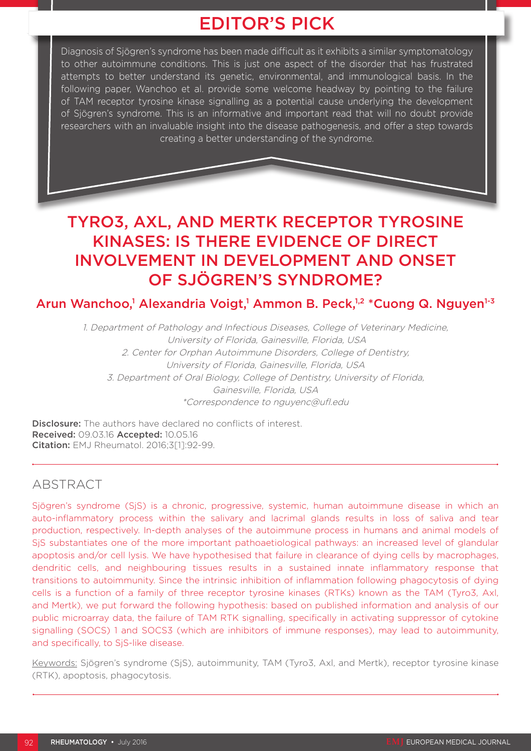# EDITOR'S PICK

Diagnosis of Sjögren's syndrome has been made difficult as it exhibits a similar symptomatology to other autoimmune conditions. This is just one aspect of the disorder that has frustrated attempts to better understand its genetic, environmental, and immunological basis. In the following paper, Wanchoo et al. provide some welcome headway by pointing to the failure of TAM receptor tyrosine kinase signalling as a potential cause underlying the development of Sjögren's syndrome. This is an informative and important read that will no doubt provide researchers with an invaluable insight into the disease pathogenesis, and offer a step towards creating a better understanding of the syndrome.

# TYRO3, AXL, AND MERTK RECEPTOR TYROSINE KINASES: IS THERE EVIDENCE OF DIRECT INVOLVEMENT IN DEVELOPMENT AND ONSET OF SJÖGREN'S SYNDROME?

# Arun Wanchoo,<sup>1</sup> Alexandria Voigt,<sup>1</sup> Ammon B. Peck,<sup>1,2</sup> \*Cuong Q. Nguyen<sup>1-3</sup>

1. Department of Pathology and Infectious Diseases, College of Veterinary Medicine, University of Florida, Gainesville, Florida, USA 2. Center for Orphan Autoimmune Disorders, College of Dentistry, University of Florida, Gainesville, Florida, USA 3. Department of Oral Biology, College of Dentistry, University of Florida, Gainesville, Florida, USA \*Correspondence to nguyenc@ufl.edu

Disclosure: The authors have declared no conflicts of interest. Received: 09.03.16 Accepted: 10.05.16 Citation: EMJ Rheumatol. 2016;3[1]:92-99.

## ABSTRACT

Sjögren's syndrome (SjS) is a chronic, progressive, systemic, human autoimmune disease in which an auto-inflammatory process within the salivary and lacrimal glands results in loss of saliva and tear production, respectively. In-depth analyses of the autoimmune process in humans and animal models of SjS substantiates one of the more important pathoaetiological pathways: an increased level of glandular apoptosis and/or cell lysis. We have hypothesised that failure in clearance of dying cells by macrophages, dendritic cells, and neighbouring tissues results in a sustained innate inflammatory response that transitions to autoimmunity. Since the intrinsic inhibition of inflammation following phagocytosis of dying cells is a function of a family of three receptor tyrosine kinases (RTKs) known as the TAM (Tyro3, Axl, and Mertk), we put forward the following hypothesis: based on published information and analysis of our public microarray data, the failure of TAM RTK signalling, specifically in activating suppressor of cytokine signalling (SOCS) 1 and SOCS3 (which are inhibitors of immune responses), may lead to autoimmunity, and specifically, to SjS-like disease.

Keywords: Sjögren's syndrome (SjS), autoimmunity, TAM (Tyro3, Axl, and Mertk), receptor tyrosine kinase (RTK), apoptosis, phagocytosis.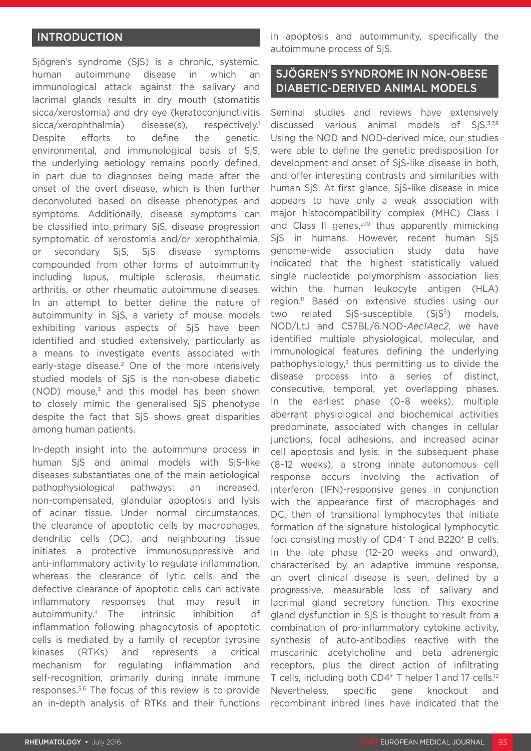#### INTRODUCTION

Sjögren's syndrome (SjS) is a chronic, systemic, human autoimmune disease in which an immunological attack against the salivary and lacrimal glands results in dry mouth (stomatitis sicca/xerostomia) and dry eye (keratoconjunctivitis sicca/xerophthalmia) disease(s), respectively.<sup>1</sup> Despite efforts to define the genetic, environmental, and immunological basis of SjS, the underlying aetiology remains poorly defined, in part due to diagnoses being made after the onset of the overt disease, which is then further deconvoluted based on disease phenotypes and symptoms. Additionally, disease symptoms can be classified into primary SjS, disease progression symptomatic of xerostomia and/or xerophthalmia, or secondary SjS, SjS disease symptoms compounded from other forms of autoimmunity including lupus, multiple sclerosis, rheumatic arthritis, or other rheumatic autoimmune diseases. In an attempt to better define the nature of autoimmunity in SjS, a variety of mouse models exhibiting various aspects of SjS have been identified and studied extensively, particularly as a means to investigate events associated with early-stage disease.<sup>2</sup> One of the more intensively studied models of SjS is the non-obese diabetic  $(NOD)$  mouse, $3$  and this model has been shown to closely mimic the generalised SjS phenotype despite the fact that SjS shows great disparities among human patients.

In-depth insight into the autoimmune process in human SjS and animal models with SjS-like diseases substantiates one of the main aetiological pathophysiological pathways: an increased, non-compensated, glandular apoptosis and lysis of acinar tissue. Under normal circumstances, the clearance of apoptotic cells by macrophages, dendritic cells (DC), and neighbouring tissue initiates a protective immunosuppressive and anti-inflammatory activity to regulate inflammation, whereas the clearance of lytic cells and the defective clearance of apoptotic cells can activate inflammatory responses that may result in autoimmunity.4 The intrinsic inhibition of inflammation following phagocytosis of apoptotic cells is mediated by a family of receptor tyrosine kinases (RTKs) and represents a critical mechanism for regulating inflammation and self-recognition, primarily during innate immune responses.5,6 The focus of this review is to provide an in-depth analysis of RTKs and their functions

in apoptosis and autoimmunity, specifically the autoimmune process of SjS.

### SJÖGREN'S SYNDROME IN NON-OBESE DIABETIC-DERIVED ANIMAL MODELS

Seminal studies and reviews have extensively discussed various animal models of SiS.<sup>3,7,8</sup> Using the NOD and NOD-derived mice, our studies were able to define the genetic predisposition for development and onset of SjS-like disease in both, and offer interesting contrasts and similarities with human SjS. At first glance, SjS-like disease in mice appears to have only a weak association with major histocompatibility complex (MHC) Class I and Class II genes,<sup>9,10</sup> thus apparently mimicking SjS in humans. However, recent human SjS genome-wide association study data have indicated that the highest statistically valued single nucleotide polymorphism association lies within the human leukocyte antigen (HLA) region.11 Based on extensive studies using our two related SjS-susceptible (SjS<sup>s</sup>) models, NOD/LtJ and C57BL/6.NOD-*Aec1Aec2*, we have identified multiple physiological, molecular, and immunological features defining the underlying pathophysiology, $3$  thus permitting us to divide the disease process into a series of distinct, consecutive, temporal, yet overlapping phases. In the earliest phase (0–8 weeks), multiple aberrant physiological and biochemical activities predominate, associated with changes in cellular junctions, focal adhesions, and increased acinar cell apoptosis and lysis. In the subsequent phase (8–12 weeks), a strong innate autonomous cell response occurs involving the activation of interferon (IFN)-responsive genes in conjunction with the appearance first of macrophages and DC, then of transitional lymphocytes that initiate formation of the signature histological lymphocytic foci consisting mostly of CD4<sup>+</sup> T and B220<sup>+</sup> B cells. In the late phase (12–20 weeks and onward), characterised by an adaptive immune response, an overt clinical disease is seen, defined by a progressive, measurable loss of salivary and lacrimal gland secretory function. This exocrine gland dysfunction in SjS is thought to result from a combination of pro-inflammatory cytokine activity, synthesis of auto-antibodies reactive with the muscarinic acetylcholine and beta adrenergic receptors, plus the direct action of infiltrating T cells, including both CD4<sup>+</sup> T helper 1 and 17 cells.<sup>12</sup> Nevertheless, specific gene knockout and recombinant inbred lines have indicated that the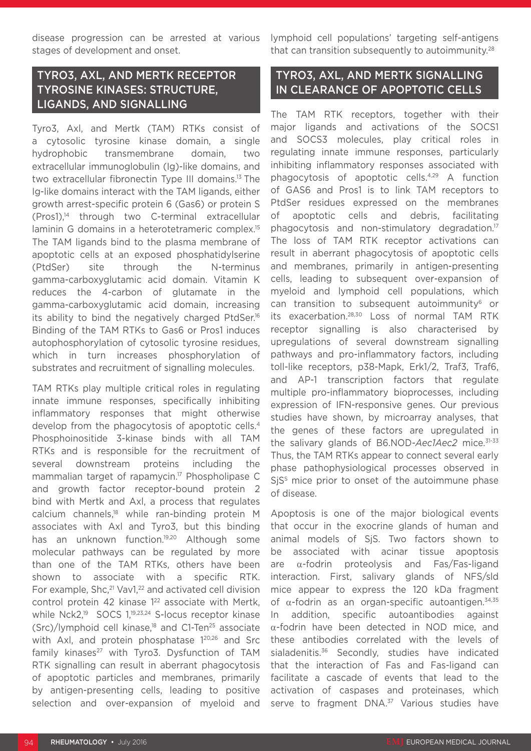disease progression can be arrested at various stages of development and onset.

## TYRO3, AXL, AND MERTK RECEPTOR TYROSINE KINASES: STRUCTURE, LIGANDS, AND SIGNALLING

Tyro3, Axl, and Mertk (TAM) RTKs consist of a cytosolic tyrosine kinase domain, a single hydrophobic transmembrane domain, two extracellular immunoglobulin (Ig)-like domains, and two extracellular fibronectin Type III domains.13 The Ig-like domains interact with the TAM ligands, either growth arrest-specific protein 6 (Gas6) or protein S (Pros1),14 through two C-terminal extracellular laminin G domains in a heterotetrameric complex.15 The TAM ligands bind to the plasma membrane of apoptotic cells at an exposed phosphatidylserine (PtdSer) site through the N-terminus gamma-carboxyglutamic acid domain. Vitamin K reduces the 4-carbon of glutamate in the gamma-carboxyglutamic acid domain, increasing its ability to bind the negatively charged PtdSer.<sup>16</sup> Binding of the TAM RTKs to Gas6 or Pros1 induces autophosphorylation of cytosolic tyrosine residues, which in turn increases phosphorylation of substrates and recruitment of signalling molecules.

TAM RTKs play multiple critical roles in regulating innate immune responses, specifically inhibiting inflammatory responses that might otherwise develop from the phagocytosis of apoptotic cells.<sup>4</sup> Phosphoinositide 3-kinase binds with all TAM RTKs and is responsible for the recruitment of several downstream proteins including the mammalian target of rapamycin.17 Phospholipase C and growth factor receptor-bound protein 2 bind with Mertk and Axl, a process that regulates calcium channels,18 while ran-binding protein M associates with Axl and Tyro3, but this binding has an unknown function.<sup>19,20</sup> Although some molecular pathways can be regulated by more than one of the TAM RTKs, others have been shown to associate with a specific RTK. For example, Shc,<sup>21</sup> Vav1,<sup>22</sup> and activated cell division control protein 42 kinase 1<sup>22</sup> associate with Mertk, while Nck2,<sup>19</sup> SOCS 1,<sup>19,23,24</sup> S-locus receptor kinase  $(Src)/lymboid$  cell kinase,<sup>18</sup> and C1-Ten<sup>25</sup> associate with Axl, and protein phosphatase 1<sup>20,26</sup> and Src family kinases $^{27}$  with Tyro3. Dysfunction of TAM RTK signalling can result in aberrant phagocytosis of apoptotic particles and membranes, primarily by antigen-presenting cells, leading to positive selection and over-expansion of myeloid and

lymphoid cell populations' targeting self-antigens that can transition subsequently to autoimmunity.<sup>28</sup>

## TYRO3, AXL, AND MERTK SIGNALLING IN CLEARANCE OF APOPTOTIC CELLS

The TAM RTK receptors, together with their major ligands and activations of the SOCS1 and SOCS3 molecules, play critical roles in regulating innate immune responses, particularly inhibiting inflammatory responses associated with phagocytosis of apoptotic cells.4,29 A function of GAS6 and Pros1 is to link TAM receptors to PtdSer residues expressed on the membranes of apoptotic cells and debris, facilitating phagocytosis and non-stimulatory degradation.17 The loss of TAM RTK receptor activations can result in aberrant phagocytosis of apoptotic cells and membranes, primarily in antigen-presenting cells, leading to subsequent over-expansion of myeloid and lymphoid cell populations, which can transition to subsequent autoimmunity $6$  or its exacerbation.28,30 Loss of normal TAM RTK receptor signalling is also characterised by upregulations of several downstream signalling pathways and pro-inflammatory factors, including toll-like receptors, p38-Mapk, Erk1/2, Traf3, Traf6, and AP-1 transcription factors that regulate multiple pro-inflammatory bioprocesses, including expression of IFN-responsive genes. Our previous studies have shown, by microarray analyses, that the genes of these factors are upregulated in the salivary glands of B6.NOD-Aec1Aec2 mice.<sup>31-33</sup> Thus, the TAM RTKs appear to connect several early phase pathophysiological processes observed in  $SiS<sup>s</sup>$  mice prior to onset of the autoimmune phase of disease.

Apoptosis is one of the major biological events that occur in the exocrine glands of human and animal models of SjS. Two factors shown to be associated with acinar tissue apoptosis are α-fodrin proteolysis and Fas/Fas-ligand interaction. First, salivary glands of NFS/sld mice appear to express the 120 kDa fragment of  $\alpha$ -fodrin as an organ-specific autoantigen.<sup>34,35</sup> In addition, specific autoantibodies against α-fodrin have been detected in NOD mice, and these antibodies correlated with the levels of sialadenitis.<sup>36</sup> Secondly, studies have indicated that the interaction of Fas and Fas-ligand can facilitate a cascade of events that lead to the activation of caspases and proteinases, which serve to fragment DNA.<sup>37</sup> Various studies have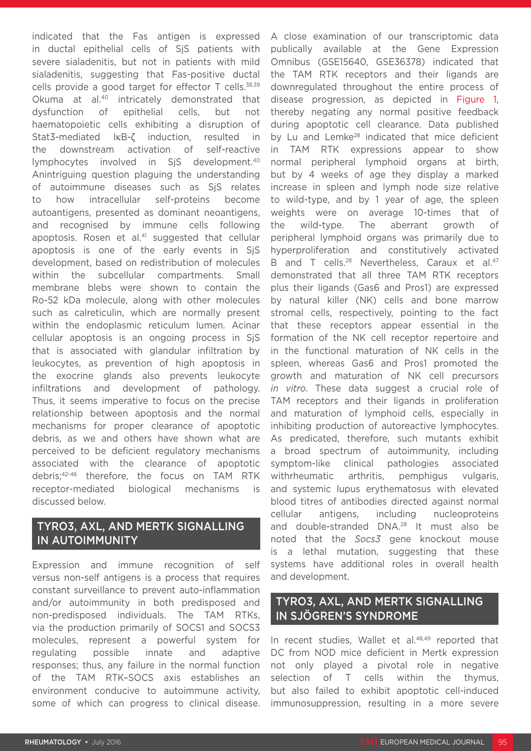indicated that the Fas antigen is expressed in ductal epithelial cells of SjS patients with severe sialadenitis, but not in patients with mild sialadenitis, suggesting that Fas-positive ductal cells provide a good target for effector T cells.<sup>38,39</sup> Okuma at al.40 intricately demonstrated that dysfunction of epithelial cells, but not haematopoietic cells exhibiting a disruption of Stat3-mediated IκB-ζ induction, resulted in the downstream activation of self-reactive lymphocytes involved in SiS development.<sup>40</sup> Anintriguing question plaguing the understanding of autoimmune diseases such as SjS relates to how intracellular self-proteins become autoantigens, presented as dominant neoantigens, and recognised by immune cells following apoptosis. Rosen et al.<sup>41</sup> suggested that cellular apoptosis is one of the early events in SjS development, based on redistribution of molecules within the subcellular compartments. Small membrane blebs were shown to contain the Ro-52 kDa molecule, along with other molecules such as calreticulin, which are normally present within the endoplasmic reticulum lumen. Acinar cellular apoptosis is an ongoing process in SjS that is associated with glandular infiltration by leukocytes, as prevention of high apoptosis in the exocrine glands also prevents leukocyte infiltrations and development of pathology. Thus, it seems imperative to focus on the precise relationship between apoptosis and the normal mechanisms for proper clearance of apoptotic debris, as we and others have shown what are perceived to be deficient regulatory mechanisms associated with the clearance of apoptotic debris;42-46 therefore, the focus on TAM RTK receptor-mediated biological mechanisms is discussed below.

## TYRO3, AXL, AND MERTK SIGNALLING IN AUTOIMMUNITY

Expression and immune recognition of self versus non-self antigens is a process that requires constant surveillance to prevent auto-inflammation and/or autoimmunity in both predisposed and non-predisposed individuals. The TAM RTKs, via the production primarily of SOCS1 and SOCS3 molecules, represent a powerful system for regulating possible innate and adaptive responses; thus, any failure in the normal function of the TAM RTK–SOCS axis establishes an environment conducive to autoimmune activity, some of which can progress to clinical disease.

A close examination of our transcriptomic data publically available at the Gene Expression Omnibus (GSE15640, GSE36378) indicated that the TAM RTK receptors and their ligands are downregulated throughout the entire process of disease progression, as depicted in Figure 1, thereby negating any normal positive feedback during apoptotic cell clearance. Data published by Lu and Lemke<sup>28</sup> indicated that mice deficient in TAM RTK expressions appear to show normal peripheral lymphoid organs at birth, but by 4 weeks of age they display a marked increase in spleen and lymph node size relative to wild-type, and by 1 year of age, the spleen weights were on average 10-times that of the wild-type. The aberrant growth of peripheral lymphoid organs was primarily due to hyperproliferation and constitutively activated B and T cells.<sup>28</sup> Nevertheless, Caraux et al.<sup>47</sup> demonstrated that all three TAM RTK receptors plus their ligands (Gas6 and Pros1) are expressed by natural killer (NK) cells and bone marrow stromal cells, respectively, pointing to the fact that these receptors appear essential in the formation of the NK cell receptor repertoire and in the functional maturation of NK cells in the spleen, whereas Gas6 and Pros1 promoted the growth and maturation of NK cell precursors *in vitro*. These data suggest a crucial role of TAM receptors and their ligands in proliferation and maturation of lymphoid cells, especially in inhibiting production of autoreactive lymphocytes. As predicated, therefore, such mutants exhibit a broad spectrum of autoimmunity, including symptom-like clinical pathologies associated withrheumatic arthritis, pemphigus vulgaris, and systemic lupus erythematosus with elevated blood titres of antibodies directed against normal cellular antigens, including nucleoproteins and double-stranded DNA.<sup>28</sup> It must also be noted that the *Socs3* gene knockout mouse is a lethal mutation, suggesting that these systems have additional roles in overall health and development.

### TYRO3, AXL, AND MERTK SIGNALLING IN SJÖGREN'S SYNDROME

In recent studies, Wallet et al.<sup>48,49</sup> reported that DC from NOD mice deficient in Mertk expression not only played a pivotal role in negative selection of T cells within the thymus, but also failed to exhibit apoptotic cell-induced immunosuppression, resulting in a more severe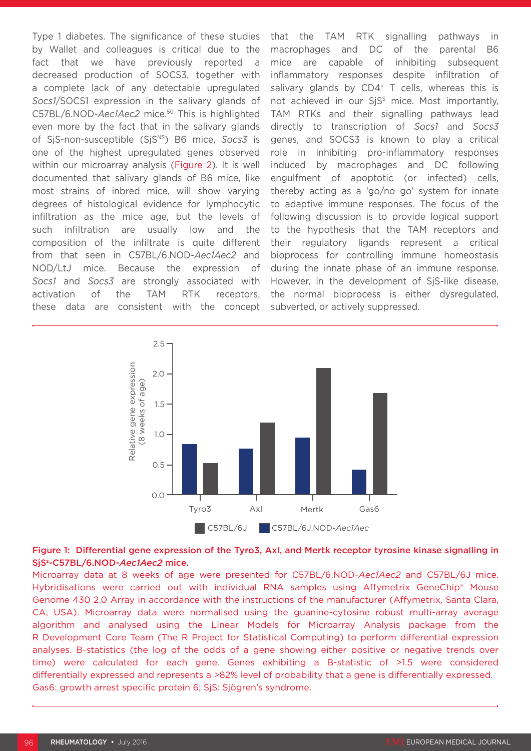Type 1 diabetes. The significance of these studies by Wallet and colleagues is critical due to the fact that we have previously reported a decreased production of SOCS3, together with a complete lack of any detectable upregulated *Socs1*/SOCS1 expression in the salivary glands of C57BL/6.NOD-*Aec1Aec2* mice.50 This is highlighted even more by the fact that in the salivary glands of SjS-non-susceptible (SjS<sup>NS</sup>) B6 mice, Socs3 is one of the highest upregulated genes observed within our microarray analysis (Figure 2). It is well documented that salivary glands of B6 mice, like most strains of inbred mice, will show varying degrees of histological evidence for lymphocytic infiltration as the mice age, but the levels of such infiltration are usually low and the composition of the infiltrate is quite different from that seen in C57BL/6.NOD-*Aec1Aec2* and NOD/LtJ mice. Because the expression of *Socs1* and *Socs3* are strongly associated with activation of the TAM RTK receptors, these data are consistent with the concept that the TAM RTK signalling pathways in macrophages and DC of the parental B6 mice are capable of inhibiting subsequent inflammatory responses despite infiltration of salivary glands by CD4<sup>+</sup> T cells, whereas this is not achieved in our  $S_jS^s$  mice. Most importantly, TAM RTKs and their signalling pathways lead directly to transcription of *Socs1* and *Socs3* genes, and SOCS3 is known to play a critical role in inhibiting pro-inflammatory responses induced by macrophages and DC following engulfment of apoptotic (or infected) cells, thereby acting as a 'go/no go' system for innate to adaptive immune responses. The focus of the following discussion is to provide logical support to the hypothesis that the TAM receptors and their regulatory ligands represent a critical bioprocess for controlling immune homeostasis during the innate phase of an immune response. However, in the development of SjS-like disease, the normal bioprocess is either dysregulated, subverted, or actively suppressed.



#### Figure 1: Differential gene expression of the Tyro3, Axl, and Mertk receptor tyrosine kinase signalling in SjSs -C57BL/6.NOD-*Aec1Aec2* mice.

Microarray data at 8 weeks of age were presented for C57BL/6.NOD-*Aec1Aec2* and C57BL/6J mice. Hybridisations were carried out with individual RNA samples using Affymetrix GeneChip® Mouse Genome 430 2.0 Array in accordance with the instructions of the manufacturer (Affymetrix, Santa Clara, CA, USA). Microarray data were normalised using the guanine-cytosine robust multi-array average algorithm and analysed using the Linear Models for Microarray Analysis package from the R Development Core Team (The R Project for Statistical Computing) to perform differential expression analyses. B-statistics (the log of the odds of a gene showing either positive or negative trends over time) were calculated for each gene. Genes exhibiting a B-statistic of >1.5 were considered differentially expressed and represents a >82% level of probability that a gene is differentially expressed. Gas6: growth arrest specific protein 6; SjS: Sjögren's syndrome.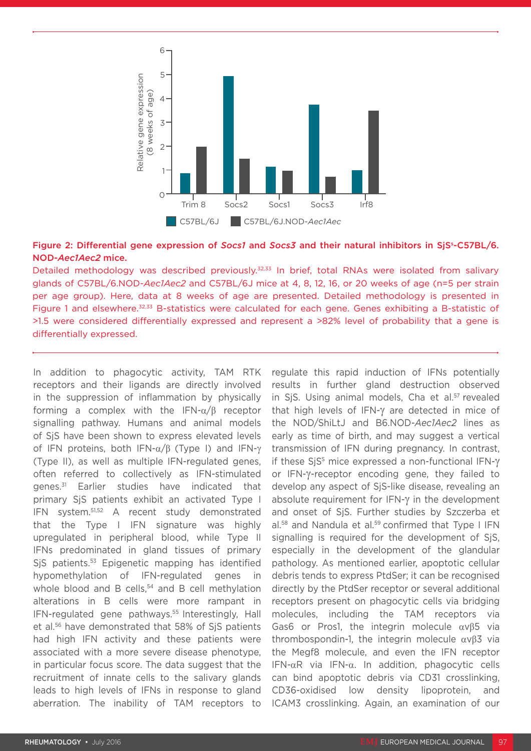

#### Figure 2: Differential gene expression of *Socs1* and *Socs3* and their natural inhibitors in SjS<sup>s</sup>-C57BL/6. NOD-*Aec1Aec2* mice.

Detailed methodology was described previously.<sup>32,33</sup> In brief, total RNAs were isolated from salivary glands of C57BL/6.NOD-*Aec1Aec2* and C57BL/6J mice at 4, 8, 12, 16, or 20 weeks of age (n=5 per strain per age group). Here, data at 8 weeks of age are presented. Detailed methodology is presented in Figure 1 and elsewhere.<sup>32,33</sup> B-statistics were calculated for each gene. Genes exhibiting a B-statistic of >1.5 were considered differentially expressed and represent a >82% level of probability that a gene is differentially expressed.

In addition to phagocytic activity, TAM RTK receptors and their ligands are directly involved in the suppression of inflammation by physically forming a complex with the IFN- $\alpha/\beta$  receptor signalling pathway. Humans and animal models of SjS have been shown to express elevated levels of IFN proteins, both IFN-α/β (Type I) and IFN-γ (Type II), as well as multiple IFN-regulated genes, often referred to collectively as IFN-stimulated genes.<sup>31</sup> Earlier studies have indicated that primary SjS patients exhibit an activated Type I IFN system.51,52 A recent study demonstrated that the Type I IFN signature was highly upregulated in peripheral blood, while Type II IFNs predominated in gland tissues of primary SjS patients.53 Epigenetic mapping has identified hypomethylation of IFN-regulated genes in whole blood and B cells, $54$  and B cell methylation alterations in B cells were more rampant in IFN-regulated gene pathways.55 Interestingly, Hall et al.56 have demonstrated that 58% of SjS patients had high IFN activity and these patients were associated with a more severe disease phenotype, in particular focus score. The data suggest that the recruitment of innate cells to the salivary glands leads to high levels of IFNs in response to gland aberration. The inability of TAM receptors to

regulate this rapid induction of IFNs potentially results in further gland destruction observed in SjS. Using animal models, Cha et al.<sup>57</sup> revealed that high levels of IFN-γ are detected in mice of the NOD/ShiLtJ and B6.NOD-*Aec1Aec2* lines as early as time of birth, and may suggest a vertical transmission of IFN during pregnancy. In contrast, if these SjS<sup>s</sup> mice expressed a non-functional IFN-γ or IFN-γ-receptor encoding gene, they failed to develop any aspect of SjS-like disease, revealing an absolute requirement for IFN-γ in the development and onset of SjS. Further studies by Szczerba et al.<sup>58</sup> and Nandula et al.<sup>59</sup> confirmed that Type I IFN signalling is required for the development of SjS, especially in the development of the glandular pathology. As mentioned earlier, apoptotic cellular debris tends to express PtdSer; it can be recognised directly by the PtdSer receptor or several additional receptors present on phagocytic cells via bridging molecules, including the TAM receptors via Gas6 or Pros1, the integrin molecule  $\alpha$ v $\beta$ 5 via thrombospondin-1, the integrin molecule αvβ3 via the Megf8 molecule, and even the IFN receptor IFN-αR via IFN-α. In addition, phagocytic cells can bind apoptotic debris via CD31 crosslinking, CD36-oxidised low density lipoprotein, and ICAM3 crosslinking. Again, an examination of our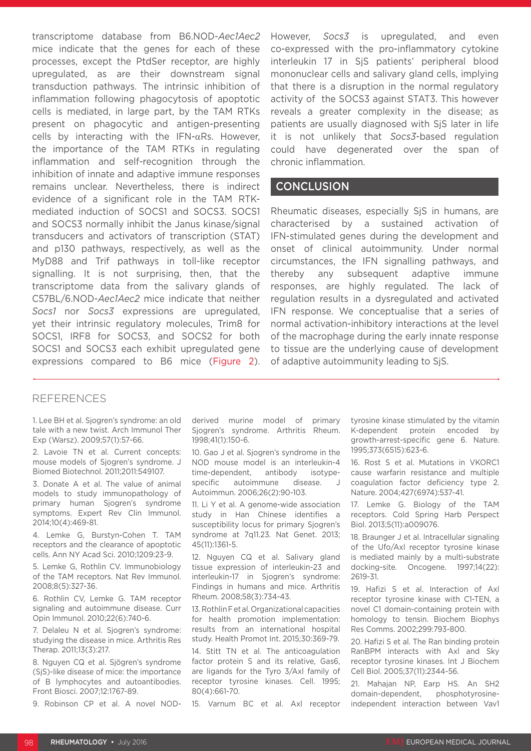transcriptome database from B6.NOD-*Aec1Aec2* mice indicate that the genes for each of these processes, except the PtdSer receptor, are highly upregulated, as are their downstream signal transduction pathways. The intrinsic inhibition of inflammation following phagocytosis of apoptotic cells is mediated, in large part, by the TAM RTKs present on phagocytic and antigen-presenting cells by interacting with the IFN- $\alpha$ Rs. However, the importance of the TAM RTKs in regulating inflammation and self-recognition through the inhibition of innate and adaptive immune responses remains unclear. Nevertheless, there is indirect evidence of a significant role in the TAM RTKmediated induction of SOCS1 and SOCS3. SOCS1 and SOCS3 normally inhibit the Janus kinase/signal transducers and activators of transcription (STAT) and p130 pathways, respectively, as well as the MyD88 and Trif pathways in toll-like receptor signalling. It is not surprising, then, that the transcriptome data from the salivary glands of C57BL/6.NOD-*Aec1Aec2* mice indicate that neither *Socs1* nor *Socs3* expressions are upregulated, yet their intrinsic regulatory molecules, Trim8 for SOCS1, IRF8 for SOCS3, and SOCS2 for both SOCS1 and SOCS3 each exhibit upregulated gene expressions compared to B6 mice (Figure 2).

However, *Socs3* is upregulated, and even co-expressed with the pro-inflammatory cytokine interleukin 17 in SjS patients' peripheral blood mononuclear cells and salivary gland cells, implying that there is a disruption in the normal regulatory activity of the SOCS3 against STAT3. This however reveals a greater complexity in the disease; as patients are usually diagnosed with SjS later in life it is not unlikely that *Socs3*-based regulation could have degenerated over the span of chronic inflammation.

#### **CONCLUSION**

Rheumatic diseases, especially SjS in humans, are characterised by a sustained activation of IFN-stimulated genes during the development and onset of clinical autoimmunity. Under normal circumstances, the IFN signalling pathways, and thereby any subsequent adaptive immune responses, are highly regulated. The lack of regulation results in a dysregulated and activated IFN response. We conceptualise that a series of normal activation-inhibitory interactions at the level of the macrophage during the early innate response to tissue are the underlying cause of development of adaptive autoimmunity leading to SjS.

#### REFERENCES

1. Lee BH et al. Sjogren's syndrome: an old tale with a new twist. Arch Immunol Ther Exp (Warsz). 2009;57(1):57-66.

2. Lavoie TN et al. Current concepts: mouse models of Sjogren's syndrome. J Biomed Biotechnol. 2011;2011:549107.

3. Donate A et al. The value of animal models to study immunopathology of primary human Sjogren's syndrome symptoms. Expert Rev Clin Immunol. 2014;10(4):469-81.

4. Lemke G, Burstyn-Cohen T. TAM receptors and the clearance of apoptotic cells. Ann NY Acad Sci. 2010;1209:23-9.

5. Lemke G, Rothlin CV. Immunobiology of the TAM receptors. Nat Rev Immunol. 2008;8(5):327-36.

6. Rothlin CV, Lemke G. TAM receptor signaling and autoimmune disease. Curr Opin Immunol. 2010;22(6):740-6.

7. Delaleu N et al. Sjogren's syndrome: studying the disease in mice. Arthritis Res Therap. 2011;13(3):217.

8. Nguyen CQ et al. Sjögren's syndrome (SjS)-like disease of mice: the importance of B lymphocytes and autoantibodies. Front Biosci. 2007;12:1767-89.

9. Robinson CP et al. A novel NOD-

derived murine model of primary Sjogren's syndrome. Arthritis Rheum. 1998;41(1):150-6.

10. Gao J et al. Sjogren's syndrome in the NOD mouse model is an interleukin-4 time-dependent, antibody isotypespecific autoimmune disease. J Autoimmun. 2006;26(2):90-103.

11. Li Y et al. A genome-wide association study in Han Chinese identifies a susceptibility locus for primary Sjogren's syndrome at 7q11.23. Nat Genet. 2013; 45(11):1361-5.

12. Nguyen CQ et al. Salivary gland tissue expression of interleukin-23 and interleukin-17 in Sjogren's syndrome: Findings in humans and mice. Arthritis Rheum. 2008;58(3):734-43.

13. Rothlin F et al. Organizational capacities for health promotion implementation: results from an international hospital study. Health Promot Int. 2015;30:369-79.

14. Stitt TN et al. The anticoagulation factor protein S and its relative, Gas6, are ligands for the Tyro 3/Axl family of receptor tyrosine kinases. Cell. 1995; 80(4):661-70.

15. Varnum BC et al. Axl receptor

tyrosine kinase stimulated by the vitamin K-dependent protein encoded by growth-arrest-specific gene 6. Nature. 1995;373(6515):623-6.

16. Rost S et al. Mutations in VKORC1 cause warfarin resistance and multiple coagulation factor deficiency type 2. Nature. 2004;427(6974):537-41.

17. Lemke G. Biology of the TAM receptors. Cold Spring Harb Perspect Biol. 2013;5(11):a009076.

18. Braunger J et al. Intracellular signaling of the Ufo/Axl receptor tyrosine kinase is mediated mainly by a multi-substrate docking-site. Oncogene. 1997;14(22): 2619-31.

19. Hafizi S et al. Interaction of Axl receptor tyrosine kinase with C1-TEN, a novel C1 domain-containing protein with homology to tensin. Biochem Biophys Res Comms. 2002;299:793-800.

20. Hafizi S et al. The Ran binding protein RanBPM interacts with Axl and Sky receptor tyrosine kinases. Int J Biochem Cell Biol. 2005;37(11):2344-56.

21. Mahajan NP, Earp HS. An SH2 domain-dependent, phosphotyrosineindependent interaction between Vav1